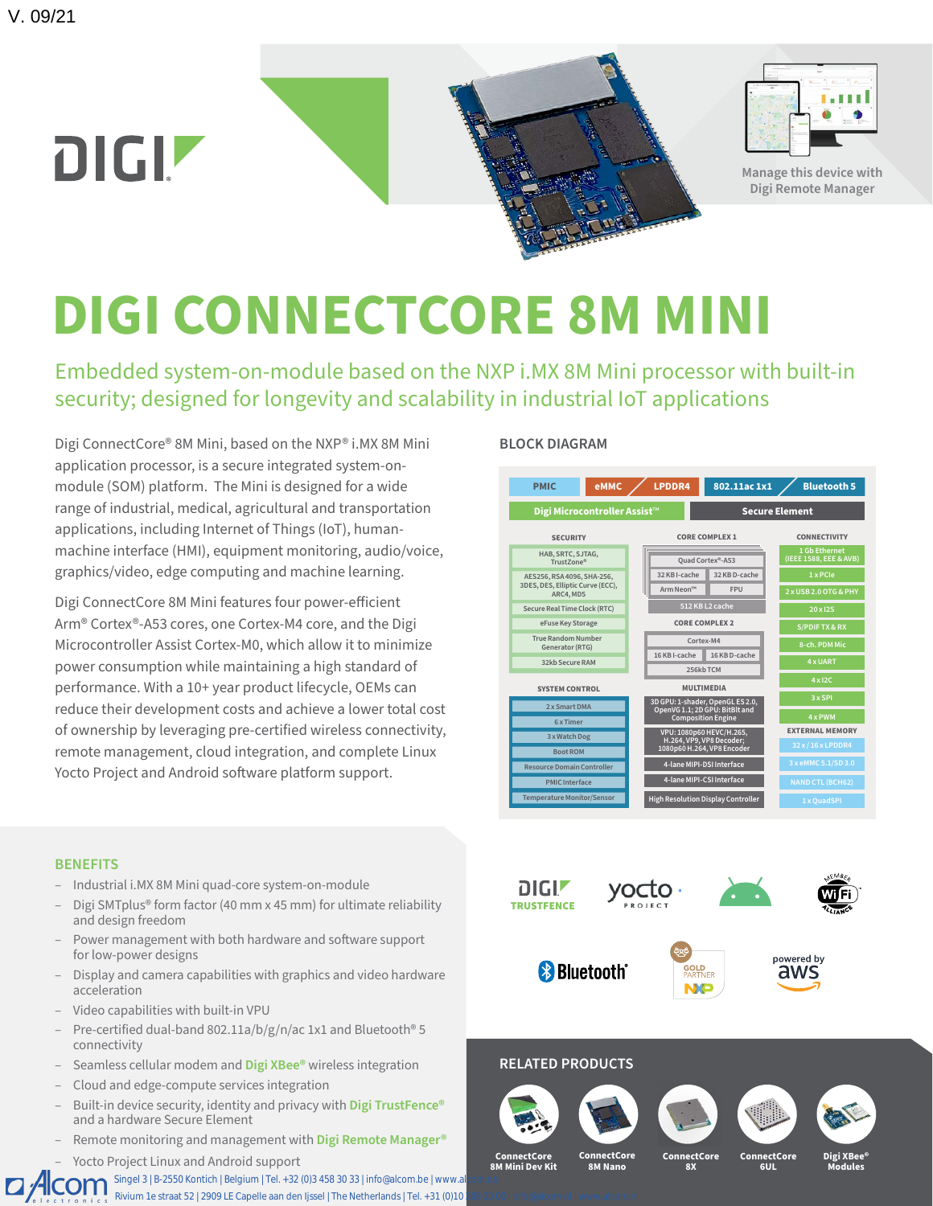

# **DIGI CONNECTCORE 8M MINI**

Embedded system-on-module based on the NXP i.MX 8M Mini processor with built-in security; designed for longevity and scalability in industrial IoT applications

Digi ConnectCore® 8M Mini, based on the NXP® i.MX 8M Mini application processor, is a secure integrated system-onmodule (SOM) platform. The Mini is designed for a wide range of industrial, medical, agricultural and transportation applications, including Internet of Things (IoT), humanmachine interface (HMI), equipment monitoring, audio/voice, graphics/video, edge computing and machine learning.

Digi ConnectCore 8M Mini features four power-efficient Arm® Cortex®-A53 cores, one Cortex-M4 core, and the Digi Microcontroller Assist Cortex-M0, which allow it to minimize power consumption while maintaining a high standard of performance. With a 10+ year product lifecycle, OEMs can reduce their development costs and achieve a lower total cost of ownership by leveraging pre-certified wireless connectivity, remote management, cloud integration, and complete Linux Yocto Project and Android software platform support.

## **BLOCK DIAGRAM**



#### **BENEFITS**

- Industrial i.MX 8M Mini quad-core system-on-module
- Digi SMTplus® form factor (40 mm x 45 mm) for ultimate reliability and design freedom
- Power management with both hardware and software support for low-power designs
- Display and camera capabilities with graphics and video hardware acceleration
- Video capabilities with built-in VPU
- Pre-certified dual-band 802.11a/b/g/n/ac 1x1 and Bluetooth® 5 connectivity
- Seamless cellular modem and **[Digi XBee®](https://www.digi.com/xbee)** wireless integration
- Cloud and edge-compute services integration
- Built-in device security, identity and privacy with **[Digi TrustFence®](https://www.digi.com/solutions/by-technology/trustfence)** and a hardware Secure Element
- Remote monitoring and management with **[Digi Remote Manager®](https://www.digi.com/products/iot-software-services/digi-remote-manager)**
- Yocto Project Linux and Android support

Singel 3 | B-2550 Kontich | Belgium | Tel. +32 (0)3 458 30 33 | info@alcom.be | www.al  $\Box$  Alcom Rivium 1e straat 52 | 2909 LE Capelle aan den Ijssel | The Netherlands | Tel. +31 (0)10



# **RELATED PRODUCTS**









**ConnectCore 8M Mini Dev Kit ConnectCore 8M Nano**

**ConnectCore 8X**

**ConnectCore 6UL**

**Digi XBee® Modules**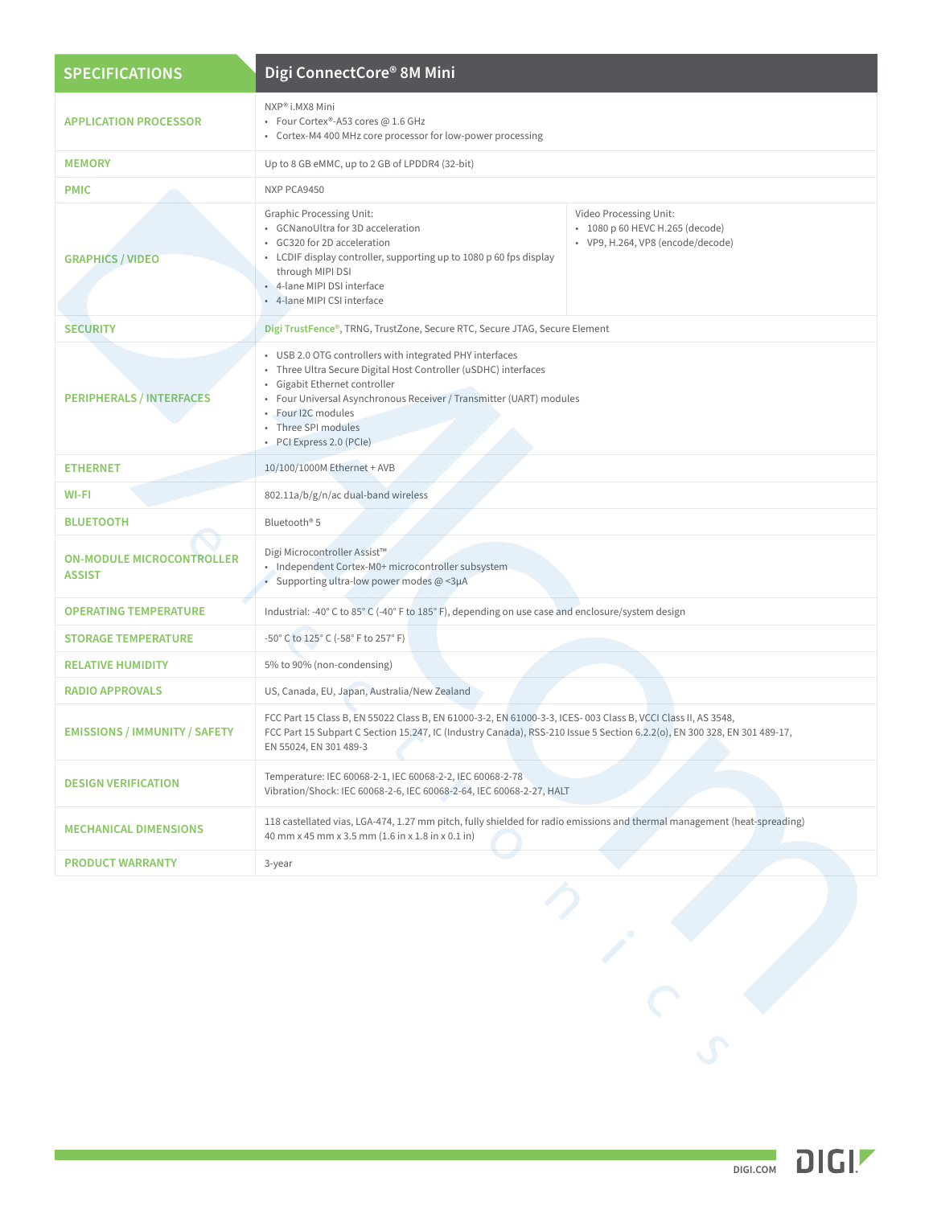| <b>SPECIFICATIONS</b>                             | Digi ConnectCore® 8M Mini                                                                                                                                                                                                                                                                                   |                                                                                                |  |  |
|---------------------------------------------------|-------------------------------------------------------------------------------------------------------------------------------------------------------------------------------------------------------------------------------------------------------------------------------------------------------------|------------------------------------------------------------------------------------------------|--|--|
| <b>APPLICATION PROCESSOR</b>                      | NXP® i.MX8 Mini<br>• Four Cortex®-A53 cores @ 1.6 GHz<br>• Cortex-M4 400 MHz core processor for low-power processing                                                                                                                                                                                        |                                                                                                |  |  |
| <b>MEMORY</b>                                     | Up to 8 GB eMMC, up to 2 GB of LPDDR4 (32-bit)                                                                                                                                                                                                                                                              |                                                                                                |  |  |
| <b>PMIC</b>                                       | NXP PCA9450                                                                                                                                                                                                                                                                                                 |                                                                                                |  |  |
| <b>GRAPHICS / VIDEO</b>                           | <b>Graphic Processing Unit:</b><br>• GCNanoUltra for 3D acceleration<br>• GC320 for 2D acceleration<br>• LCDIF display controller, supporting up to 1080 p 60 fps display<br>through MIPI DSI<br>• 4-lane MIPI DSI interface<br>• 4-lane MIPI CSI interface                                                 | Video Processing Unit:<br>• 1080 p 60 HEVC H.265 (decode)<br>· VP9, H.264, VP8 (encode/decode) |  |  |
| <b>SECURITY</b>                                   | Digi TrustFence®, TRNG, TrustZone, Secure RTC, Secure JTAG, Secure Element                                                                                                                                                                                                                                  |                                                                                                |  |  |
| <b>PERIPHERALS / INTERFACES</b>                   | • USB 2.0 OTG controllers with integrated PHY interfaces<br>• Three Ultra Secure Digital Host Controller (uSDHC) interfaces<br>Gigabit Ethernet controller<br>• Four Universal Asynchronous Receiver / Transmitter (UART) modules<br>· Four I2C modules<br>· Three SPI modules<br>• PCI Express 2.0 (PCIe)  |                                                                                                |  |  |
| <b>ETHERNET</b>                                   | 10/100/1000M Ethernet + AVB                                                                                                                                                                                                                                                                                 |                                                                                                |  |  |
| WI-FI                                             | 802.11a/b/g/n/ac dual-band wireless<br>Bluetooth <sup>®</sup> 5                                                                                                                                                                                                                                             |                                                                                                |  |  |
| <b>BLUETOOTH</b>                                  |                                                                                                                                                                                                                                                                                                             |                                                                                                |  |  |
| <b>ON-MODULE MICROCONTROLLER</b><br><b>ASSIST</b> | Digi Microcontroller Assist™<br>· Independent Cortex-M0+ microcontroller subsystem<br>• Supporting ultra-low power modes $@$ <3µA<br>Industrial: -40° C to 85° C (-40° F to 185° F), depending on use case and enclosure/system design<br>-50° C to 125° C (-58° F to 257° F)<br>5% to 90% (non-condensing) |                                                                                                |  |  |
| <b>OPERATING TEMPERATURE</b>                      |                                                                                                                                                                                                                                                                                                             |                                                                                                |  |  |
| <b>STORAGE TEMPERATURE</b>                        |                                                                                                                                                                                                                                                                                                             |                                                                                                |  |  |
| <b>RELATIVE HUMIDITY</b>                          |                                                                                                                                                                                                                                                                                                             |                                                                                                |  |  |
| <b>RADIO APPROVALS</b>                            | US, Canada, EU, Japan, Australia/New Zealand                                                                                                                                                                                                                                                                |                                                                                                |  |  |
| <b>EMISSIONS / IMMUNITY / SAFETY</b>              | FCC Part 15 Class B, EN 55022 Class B, EN 61000-3-2, EN 61000-3-3, ICES-003 Class B, VCCI Class II, AS 3548,<br>FCC Part 15 Subpart C Section 15.247, IC (Industry Canada), RSS-210 Issue 5 Section 6.2.2(o), EN 300 328, EN 301 489-17,<br>EN 55024, EN 301 489-3                                          |                                                                                                |  |  |
| <b>DESIGN VERIFICATION</b>                        | Temperature: IEC 60068-2-1, IEC 60068-2-2, IEC 60068-2-78<br>Vibration/Shock: IEC 60068-2-6, IEC 60068-2-64, IEC 60068-2-27, HALT                                                                                                                                                                           |                                                                                                |  |  |
| <b>MECHANICAL DIMENSIONS</b>                      | 118 castellated vias, LGA-474, 1.27 mm pitch, fully shielded for radio emissions and thermal management (heat-spreading)<br>40 mm x 45 mm x 3.5 mm (1.6 in x 1.8 in x 0.1 in)                                                                                                                               |                                                                                                |  |  |
| <b>PRODUCT WARRANTY</b>                           | 3-year                                                                                                                                                                                                                                                                                                      |                                                                                                |  |  |